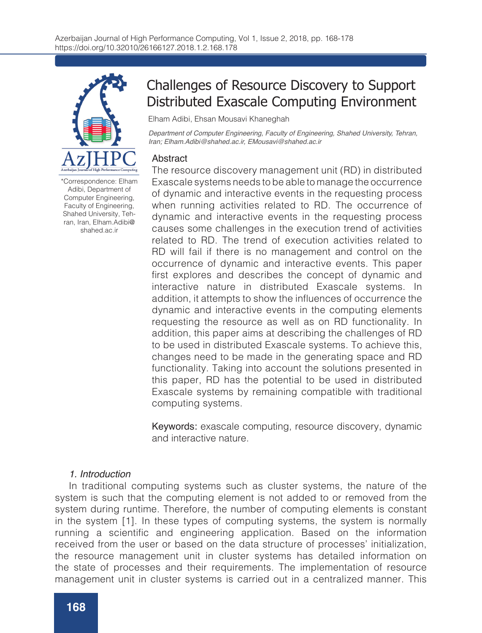

\*Correspondence: Elham Adibi, Department of Computer Engineering, Faculty of Engineering, Shahed University, Tehran, Iran, Elham.Adibi@ shahed.ac.ir

# Challenges of Resource Discovery to Support Distributed Exascale Computing Environment

Elham Adibi, Ehsan Mousavi Khaneghah

*Department of Computer Engineering, Faculty of Engineering, Shahed University, Tehran, Iran; Elham.Adibi@shahed.ac.ir, EMousavi@shahed.ac.ir*

## **Abstract**

The resource discovery management unit (RD) in distributed Exascale systems needs to be able to manage the occurrence of dynamic and interactive events in the requesting process when running activities related to RD. The occurrence of dynamic and interactive events in the requesting process causes some challenges in the execution trend of activities related to RD. The trend of execution activities related to RD will fail if there is no management and control on the occurrence of dynamic and interactive events. This paper first explores and describes the concept of dynamic and interactive nature in distributed Exascale systems. In addition, it attempts to show the influences of occurrence the dynamic and interactive events in the computing elements requesting the resource as well as on RD functionality. In addition, this paper aims at describing the challenges of RD to be used in distributed Exascale systems. To achieve this, changes need to be made in the generating space and RD functionality. Taking into account the solutions presented in this paper, RD has the potential to be used in distributed Exascale systems by remaining compatible with traditional computing systems.

Keywords: exascale computing, resource discovery, dynamic and interactive nature.

### *1. Introduction*

In traditional computing systems such as cluster systems, the nature of the system is such that the computing element is not added to or removed from the system during runtime. Therefore, the number of computing elements is constant in the system [1]. In these types of computing systems, the system is normally running a scientific and engineering application. Based on the information received from the user or based on the data structure of processes' initialization, the resource management unit in cluster systems has detailed information on the state of processes and their requirements. The implementation of resource management unit in cluster systems is carried out in a centralized manner. This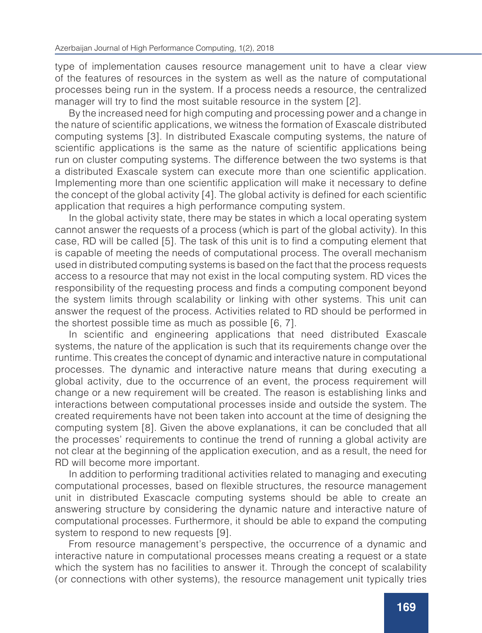type of implementation causes resource management unit to have a clear view of the features of resources in the system as well as the nature of computational processes being run in the system. If a process needs a resource, the centralized manager will try to find the most suitable resource in the system [2].

By the increased need for high computing and processing power and a change in the nature of scientific applications, we witness the formation of Exascale distributed computing systems [3]. In distributed Exascale computing systems, the nature of scientific applications is the same as the nature of scientific applications being run on cluster computing systems. The difference between the two systems is that a distributed Exascale system can execute more than one scientific application. Implementing more than one scientific application will make it necessary to define the concept of the global activity [4]. The global activity is defined for each scientific application that requires a high performance computing system.

In the global activity state, there may be states in which a local operating system cannot answer the requests of a process (which is part of the global activity). In this case, RD will be called [5]. The task of this unit is to find a computing element that is capable of meeting the needs of computational process. The overall mechanism used in distributed computing systems is based on the fact that the process requests access to a resource that may not exist in the local computing system. RD vices the responsibility of the requesting process and finds a computing component beyond the system limits through scalability or linking with other systems. This unit can answer the request of the process. Activities related to RD should be performed in the shortest possible time as much as possible [6, 7].

In scientific and engineering applications that need distributed Exascale systems, the nature of the application is such that its requirements change over the runtime. This creates the concept of dynamic and interactive nature in computational processes. The dynamic and interactive nature means that during executing a global activity, due to the occurrence of an event, the process requirement will change or a new requirement will be created. The reason is establishing links and interactions between computational processes inside and outside the system. The created requirements have not been taken into account at the time of designing the computing system [8]. Given the above explanations, it can be concluded that all the processes' requirements to continue the trend of running a global activity are not clear at the beginning of the application execution, and as a result, the need for RD will become more important.

In addition to performing traditional activities related to managing and executing computational processes, based on flexible structures, the resource management unit in distributed Exascacle computing systems should be able to create an answering structure by considering the dynamic nature and interactive nature of computational processes. Furthermore, it should be able to expand the computing system to respond to new requests [9].

From resource management's perspective, the occurrence of a dynamic and interactive nature in computational processes means creating a request or a state which the system has no facilities to answer it. Through the concept of scalability (or connections with other systems), the resource management unit typically tries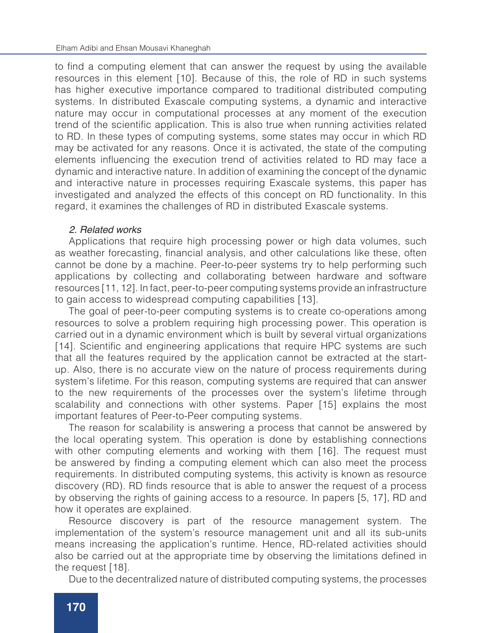to find a computing element that can answer the request by using the available resources in this element [10]. Because of this, the role of RD in such systems has higher executive importance compared to traditional distributed computing systems. In distributed Exascale computing systems, a dynamic and interactive nature may occur in computational processes at any moment of the execution trend of the scientific application. This is also true when running activities related to RD. In these types of computing systems, some states may occur in which RD may be activated for any reasons. Once it is activated, the state of the computing elements influencing the execution trend of activities related to RD may face a dynamic and interactive nature. In addition of examining the concept of the dynamic and interactive nature in processes requiring Exascale systems, this paper has investigated and analyzed the effects of this concept on RD functionality. In this regard, it examines the challenges of RD in distributed Exascale systems.

### *2. Related works*

Applications that require high processing power or high data volumes, such as weather forecasting, financial analysis, and other calculations like these, often cannot be done by a machine. Peer-to-peer systems try to help performing such applications by collecting and collaborating between hardware and software resources [11, 12]. In fact, peer-to-peer computing systems provide an infrastructure to gain access to widespread computing capabilities [13].

The goal of peer-to-peer computing systems is to create co-operations among resources to solve a problem requiring high processing power. This operation is carried out in a dynamic environment which is built by several virtual organizations [14]. Scientific and engineering applications that require HPC systems are such that all the features required by the application cannot be extracted at the startup. Also, there is no accurate view on the nature of process requirements during system's lifetime. For this reason, computing systems are required that can answer to the new requirements of the processes over the system's lifetime through scalability and connections with other systems. Paper [15] explains the most important features of Peer-to-Peer computing systems.

The reason for scalability is answering a process that cannot be answered by the local operating system. This operation is done by establishing connections with other computing elements and working with them [16]. The request must be answered by finding a computing element which can also meet the process requirements. In distributed computing systems, this activity is known as resource discovery (RD). RD finds resource that is able to answer the request of a process by observing the rights of gaining access to a resource. In papers [5, 17], RD and how it operates are explained.

Resource discovery is part of the resource management system. The implementation of the system's resource management unit and all its sub-units means increasing the application's runtime. Hence, RD-related activities should also be carried out at the appropriate time by observing the limitations defined in the request [18].

Due to the decentralized nature of distributed computing systems, the processes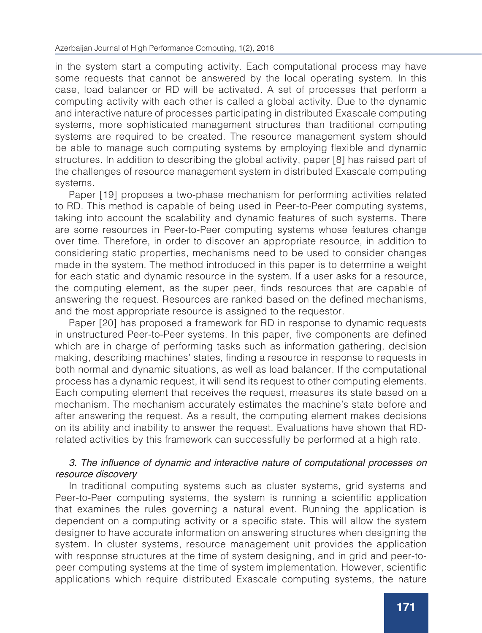in the system start a computing activity. Each computational process may have some requests that cannot be answered by the local operating system. In this case, load balancer or RD will be activated. A set of processes that perform a computing activity with each other is called a global activity. Due to the dynamic and interactive nature of processes participating in distributed Exascale computing systems, more sophisticated management structures than traditional computing systems are required to be created. The resource management system should be able to manage such computing systems by employing flexible and dynamic structures. In addition to describing the global activity, paper [8] has raised part of the challenges of resource management system in distributed Exascale computing systems.

Paper [19] proposes a two-phase mechanism for performing activities related to RD. This method is capable of being used in Peer-to-Peer computing systems, taking into account the scalability and dynamic features of such systems. There are some resources in Peer-to-Peer computing systems whose features change over time. Therefore, in order to discover an appropriate resource, in addition to considering static properties, mechanisms need to be used to consider changes made in the system. The method introduced in this paper is to determine a weight for each static and dynamic resource in the system. If a user asks for a resource, the computing element, as the super peer, finds resources that are capable of answering the request. Resources are ranked based on the defined mechanisms, and the most appropriate resource is assigned to the requestor.

Paper [20] has proposed a framework for RD in response to dynamic requests in unstructured Peer-to-Peer systems. In this paper, five components are defined which are in charge of performing tasks such as information gathering, decision making, describing machines' states, finding a resource in response to requests in both normal and dynamic situations, as well as load balancer. If the computational process has a dynamic request, it will send its request to other computing elements. Each computing element that receives the request, measures its state based on a mechanism. The mechanism accurately estimates the machine's state before and after answering the request. As a result, the computing element makes decisions on its ability and inability to answer the request. Evaluations have shown that RDrelated activities by this framework can successfully be performed at a high rate.

# 3. The influence of dynamic and interactive nature of computational processes on *resource discovery*

In traditional computing systems such as cluster systems, grid systems and Peer-to-Peer computing systems, the system is running a scientific application that examines the rules governing a natural event. Running the application is dependent on a computing activity or a specific state. This will allow the system designer to have accurate information on answering structures when designing the system. In cluster systems, resource management unit provides the application with response structures at the time of system designing, and in grid and peer-topeer computing systems at the time of system implementation. However, scientific applications which require distributed Exascale computing systems, the nature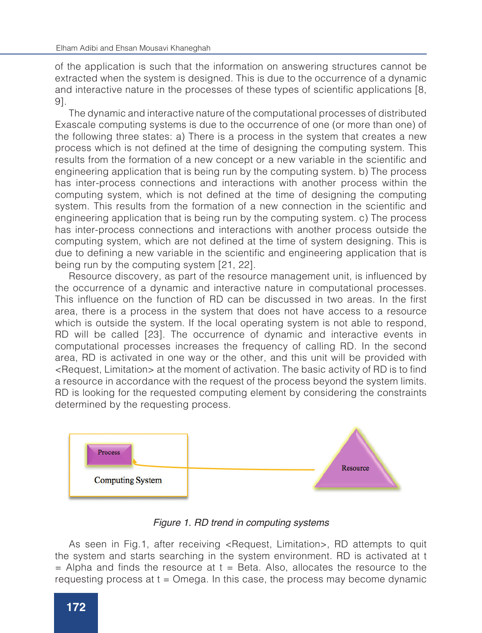of the application is such that the information on answering structures cannot be extracted when the system is designed. This is due to the occurrence of a dynamic and interactive nature in the processes of these types of scientific applications [8, 9].

The dynamic and interactive nature of the computational processes of distributed Exascale computing systems is due to the occurrence of one (or more than one) of the following three states: a) There is a process in the system that creates a new process which is not defined at the time of designing the computing system. This results from the formation of a new concept or a new variable in the scientific and engineering application that is being run by the computing system. b) The process has inter-process connections and interactions with another process within the computing system, which is not defined at the time of designing the computing system. This results from the formation of a new connection in the scientific and engineering application that is being run by the computing system. c) The process has inter-process connections and interactions with another process outside the computing system, which are not defined at the time of system designing. This is due to defining a new variable in the scientific and engineering application that is being run by the computing system [21, 22].

Resource discovery, as part of the resource management unit, is influenced by the occurrence of a dynamic and interactive nature in computational processes. This influence on the function of RD can be discussed in two areas. In the first area, there is a process in the system that does not have access to a resource which is outside the system. If the local operating system is not able to respond, RD will be called [23]. The occurrence of dynamic and interactive events in computational processes increases the frequency of calling RD. In the second area, RD is activated in one way or the other, and this unit will be provided with <Request, Limitation> at the moment of activation. The basic activity of RD is to find a resource in accordance with the request of the process beyond the system limits. RD is looking for the requested computing element by considering the constraints determined by the requesting process.



*Figure 1. RD trend in computing systems*

As seen in Fig.1, after receiving <Request, Limitation>, RD attempts to quit the system and starts searching in the system environment. RD is activated at t  $=$  Alpha and finds the resource at  $t =$  Beta. Also, allocates the resource to the requesting process at  $t =$  Omega. In this case, the process may become dynamic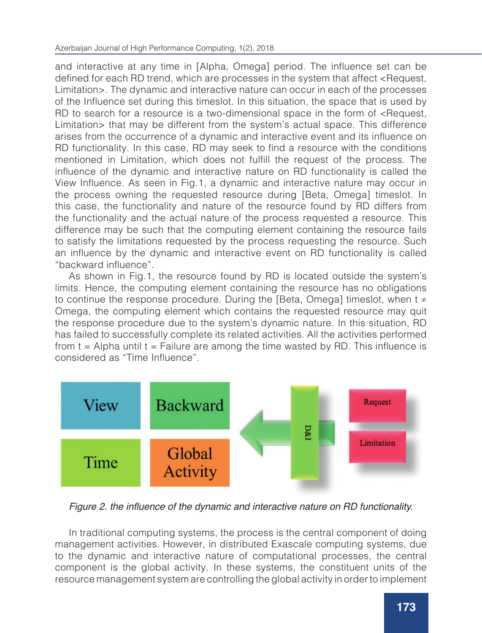and interactive at any time in [Alpha, Omega] period. The influence set can be defined for each RD trend, which are processes in the system that affect <Request, Limitation>. The dynamic and interactive nature can occur in each of the processes of the Influence set during this timeslot. In this situation, the space that is used by RD to search for a resource is a two-dimensional space in the form of  $\leq$ Request, Limitation> that may be different from the system's actual space. This difference arises from the occurrence of a dynamic and interactive event and its influence on RD functionality. In this case, RD may seek to find a resource with the conditions mentioned in Limitation, which does not fulfill the request of the process. The influence of the dynamic and interactive nature on RD functionality is called the View Influence. As seen in Fig.1, a dynamic and interactive nature may occur in the process owning the requested resource during [Beta, Omega] timeslot. In this case, the functionality and nature of the resource found by RD differs from the functionality and the actual nature of the process requested a resource. This difference may be such that the computing element containing the resource fails to satisfy the limitations requested by the process requesting the resource. Such an influence by the dynamic and interactive event on RD functionality is called "backward influence".

As shown in Fig.1, the resource found by RD is located outside the system's limits. Hence, the computing element containing the resource has no obligations to continue the response procedure. During the [Beta, Omega] timeslot, when  $t \neq$ Omega, the computing element which contains the requested resource may quit the response procedure due to the system's dynamic nature. In this situation, RD has failed to successfully complete its related activities. All the activities performed from  $t =$  Alpha until  $t =$  Failure are among the time wasted by RD. This influence is considered as "Time Influence".



Figure 2. the influence of the dynamic and interactive nature on RD functionality.

In traditional computing systems, the process is the central component of doing management activities. However, in distributed Exascale computing systems, due to the dynamic and interactive nature of computational processes, the central component is the global activity. In these systems, the constituent units of the resource management system are controlling the global activity in order to implement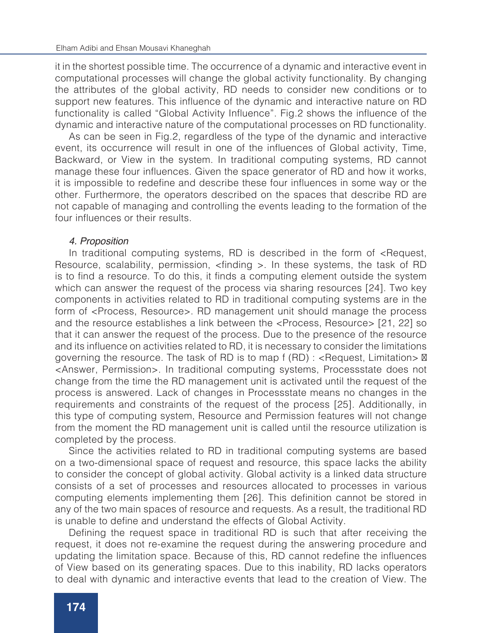it in the shortest possible time. The occurrence of a dynamic and interactive event in computational processes will change the global activity functionality. By changing the attributes of the global activity, RD needs to consider new conditions or to support new features. This influence of the dynamic and interactive nature on RD functionality is called "Global Activity Influence". Fig.2 shows the influence of the dynamic and interactive nature of the computational processes on RD functionality.

As can be seen in Fig.2, regardless of the type of the dynamic and interactive event, its occurrence will result in one of the influences of Global activity, Time, Backward, or View in the system. In traditional computing systems, RD cannot manage these four influences. Given the space generator of RD and how it works, it is impossible to redefine and describe these four influences in some way or the other. Furthermore, the operators described on the spaces that describe RD are not capable of managing and controlling the events leading to the formation of the four influences or their results.

#### *4. Proposition*

In traditional computing systems, RD is described in the form of <Request, Resource, scalability, permission, <finding >. In these systems, the task of RD is to find a resource. To do this, it finds a computing element outside the system which can answer the request of the process via sharing resources [24]. Two key components in activities related to RD in traditional computing systems are in the form of <Process, Resource>. RD management unit should manage the process and the resource establishes a link between the <Process, Resource> [21, 22] so that it can answer the request of the process. Due to the presence of the resource and its influence on activities related to RD, it is necessary to consider the limitations governing the resource. The task of RD is to map  $f(RD)$ : <Request, Limitation>  $\boxtimes$ <Answer, Permission>. In traditional computing systems, Processstate does not change from the time the RD management unit is activated until the request of the process is answered. Lack of changes in Processstate means no changes in the requirements and constraints of the request of the process [25]. Additionally, in this type of computing system, Resource and Permission features will not change from the moment the RD management unit is called until the resource utilization is completed by the process.

Since the activities related to RD in traditional computing systems are based on a two-dimensional space of request and resource, this space lacks the ability to consider the concept of global activity. Global activity is a linked data structure consists of a set of processes and resources allocated to processes in various computing elements implementing them [26]. This definition cannot be stored in any of the two main spaces of resource and requests. As a result, the traditional RD is unable to define and understand the effects of Global Activity.

Defining the request space in traditional RD is such that after receiving the request, it does not re-examine the request during the answering procedure and updating the limitation space. Because of this, RD cannot redefine the influences of View based on its generating spaces. Due to this inability, RD lacks operators to deal with dynamic and interactive events that lead to the creation of View. The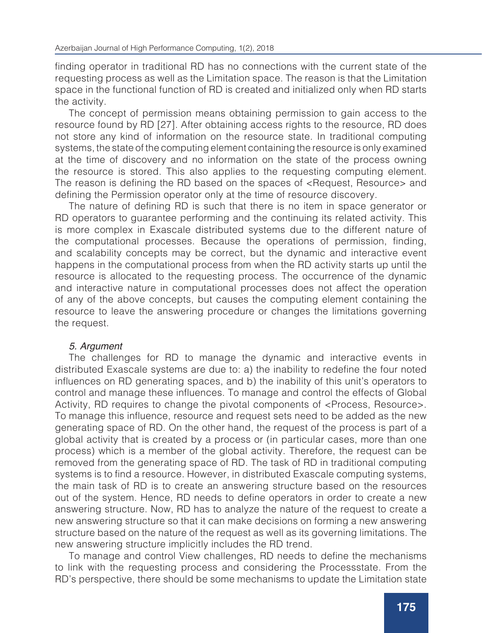finding operator in traditional RD has no connections with the current state of the requesting process as well as the Limitation space. The reason is that the Limitation space in the functional function of RD is created and initialized only when RD starts the activity.

The concept of permission means obtaining permission to gain access to the resource found by RD [27]. After obtaining access rights to the resource, RD does not store any kind of information on the resource state. In traditional computing systems, the state of the computing element containing the resource is only examined at the time of discovery and no information on the state of the process owning the resource is stored. This also applies to the requesting computing element. The reason is defining the RD based on the spaces of <Request, Resource> and defining the Permission operator only at the time of resource discovery.

The nature of defining RD is such that there is no item in space generator or RD operators to guarantee performing and the continuing its related activity. This is more complex in Exascale distributed systems due to the different nature of the computational processes. Because the operations of permission, finding, and scalability concepts may be correct, but the dynamic and interactive event happens in the computational process from when the RD activity starts up until the resource is allocated to the requesting process. The occurrence of the dynamic and interactive nature in computational processes does not affect the operation of any of the above concepts, but causes the computing element containing the resource to leave the answering procedure or changes the limitations governing the request.

## *5. Argument*

The challenges for RD to manage the dynamic and interactive events in distributed Exascale systems are due to: a) the inability to redefine the four noted influences on RD generating spaces, and b) the inability of this unit's operators to control and manage these influences. To manage and control the effects of Global Activity, RD requires to change the pivotal components of <Process, Resource>. To manage this influence, resource and request sets need to be added as the new generating space of RD. On the other hand, the request of the process is part of a global activity that is created by a process or (in particular cases, more than one process) which is a member of the global activity. Therefore, the request can be removed from the generating space of RD. The task of RD in traditional computing systems is to find a resource. However, in distributed Exascale computing systems, the main task of RD is to create an answering structure based on the resources out of the system. Hence, RD needs to define operators in order to create a new answering structure. Now, RD has to analyze the nature of the request to create a new answering structure so that it can make decisions on forming a new answering structure based on the nature of the request as well as its governing limitations. The new answering structure implicitly includes the RD trend.

To manage and control View challenges, RD needs to define the mechanisms to link with the requesting process and considering the Processstate. From the RD's perspective, there should be some mechanisms to update the Limitation state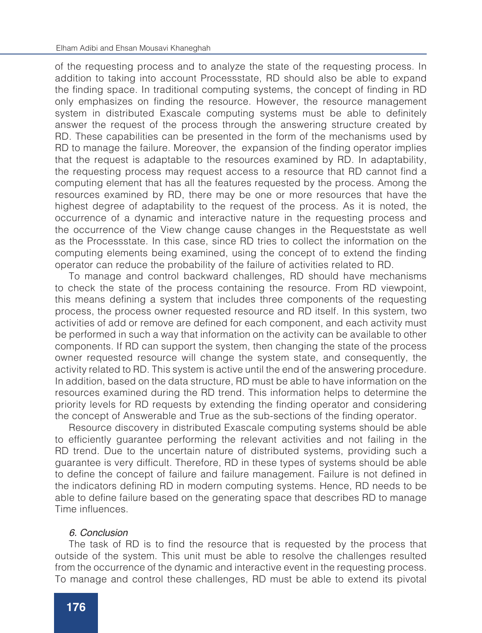of the requesting process and to analyze the state of the requesting process. In addition to taking into account Processstate, RD should also be able to expand the finding space. In traditional computing systems, the concept of finding in RD only emphasizes on finding the resource. However, the resource management system in distributed Exascale computing systems must be able to definitely answer the request of the process through the answering structure created by RD. These capabilities can be presented in the form of the mechanisms used by RD to manage the failure. Moreover, the expansion of the finding operator implies that the request is adaptable to the resources examined by RD. In adaptability, the requesting process may request access to a resource that RD cannot find a computing element that has all the features requested by the process. Among the resources examined by RD, there may be one or more resources that have the highest degree of adaptability to the request of the process. As it is noted, the occurrence of a dynamic and interactive nature in the requesting process and the occurrence of the View change cause changes in the Requeststate as well as the Processstate. In this case, since RD tries to collect the information on the computing elements being examined, using the concept of to extend the finding operator can reduce the probability of the failure of activities related to RD.

To manage and control backward challenges, RD should have mechanisms to check the state of the process containing the resource. From RD viewpoint, this means defining a system that includes three components of the requesting process, the process owner requested resource and RD itself. In this system, two activities of add or remove are defined for each component, and each activity must be performed in such a way that information on the activity can be available to other components. If RD can support the system, then changing the state of the process owner requested resource will change the system state, and consequently, the activity related to RD. This system is active until the end of the answering procedure. In addition, based on the data structure, RD must be able to have information on the resources examined during the RD trend. This information helps to determine the priority levels for RD requests by extending the finding operator and considering the concept of Answerable and True as the sub-sections of the finding operator.

Resource discovery in distributed Exascale computing systems should be able to efficiently guarantee performing the relevant activities and not failing in the RD trend. Due to the uncertain nature of distributed systems, providing such a guarantee is very difficult. Therefore, RD in these types of systems should be able to define the concept of failure and failure management. Failure is not defined in the indicators defining RD in modern computing systems. Hence, RD needs to be able to define failure based on the generating space that describes RD to manage Time influences.

#### *6. Conclusion*

The task of RD is to find the resource that is requested by the process that outside of the system. This unit must be able to resolve the challenges resulted from the occurrence of the dynamic and interactive event in the requesting process. To manage and control these challenges, RD must be able to extend its pivotal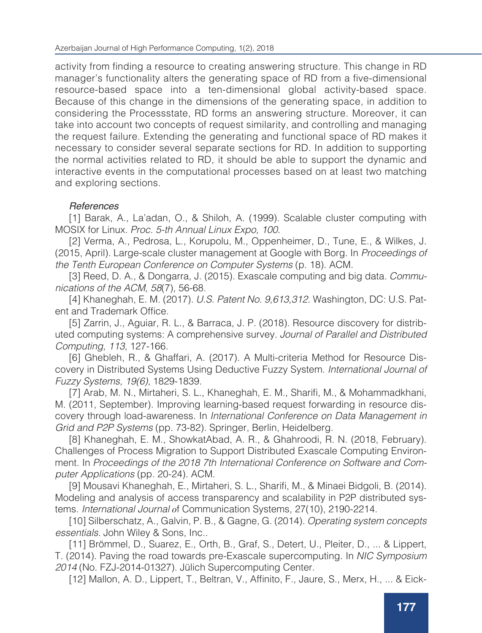activity from finding a resource to creating answering structure. This change in RD manager's functionality alters the generating space of RD from a five-dimensional resource-based space into a ten-dimensional global activity-based space. Because of this change in the dimensions of the generating space, in addition to considering the Processstate, RD forms an answering structure. Moreover, it can take into account two concepts of request similarity, and controlling and managing the request failure. Extending the generating and functional space of RD makes it necessary to consider several separate sections for RD. In addition to supporting the normal activities related to RD, it should be able to support the dynamic and interactive events in the computational processes based on at least two matching and exploring sections.

# *References*

[1] Barak, A., La'adan, O., & Shiloh, A. (1999). Scalable cluster computing with MOSIX for Linux. *Proc. 5-th Annual Linux Expo, 100.*

[2] Verma, A., Pedrosa, L., Korupolu, M., Oppenheimer, D., Tune, E., & Wilkes, J. (2015, April). Large-scale cluster management at Google with Borg. In *Proceedings of the Tenth European Conference on Computer Systems* (p. 18). ACM.

[3] Reed, D. A., & Dongarra, J. (2015). Exascale computing and big data. *Communications of the ACM, 58*(7), 56-68.

[4] Khaneghah, E. M. (2017). *U.S. Patent No. 9,613,312.* Washington, DC: U.S. Patent and Trademark Office.

[5] Zarrin, J., Aguiar, R. L., & Barraca, J. P. (2018). Resource discovery for distributed computing systems: A comprehensive survey. *Journal of Parallel and Distributed Computing, 113,* 127-166.

[6] Ghebleh, R., & Ghaffari, A. (2017). A Multi-criteria Method for Resource Discovery in Distributed Systems Using Deductive Fuzzy System. *International Journal of Fuzzy Systems, 19(6),* 1829-1839.

[7] Arab, M. N., Mirtaheri, S. L., Khaneghah, E. M., Sharifi, M., & Mohammadkhani, M. (2011, September). Improving learning-based request forwarding in resource discovery through load-awareness. In *International Conference on Data Management in Grid and P2P Systems* (pp. 73-82). Springer, Berlin, Heidelberg.

[8] Khaneghah, E. M., ShowkatAbad, A. R., & Ghahroodi, R. N. (2018, February). Challenges of Process Migration to Support Distributed Exascale Computing Environment. In *Proceedings of the 2018 7th International Conference on Software and Computer Applications* (pp. 20-24). ACM.

[9] Mousavi Khaneghah, E., Mirtaheri, S. L., Sharifi, M., & Minaei Bidgoli, B. (2014). Modeling and analysis of access transparency and scalability in P2P distributed systems. *International Journal o*f Communication Systems, 27(10), 2190-2214.

[10] Silberschatz, A., Galvin, P. B., & Gagne, G. (2014). *Operating system concepts essentials.* John Wiley & Sons, Inc..

[11] Brömmel, D., Suarez, E., Orth, B., Graf, S., Detert, U., Pleiter, D., ... & Lippert, T. (2014). Paving the road towards pre-Exascale supercomputing. In *NIC Symposium 2014* (No. FZJ-2014-01327). Jülich Supercomputing Center.

[12] Mallon, A. D., Lippert, T., Beltran, V., Affinito, F., Jaure, S., Merx, H., ... & Eick-